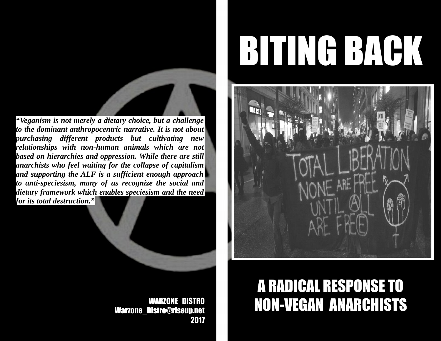*"Veganism is not merely a dietary choice, but a challenge to the dominant anthropocentric narrative. It is not about purchasing different products but cultivating new relationships with non-human animals which are not based on hierarchies and oppression. While there are still anarchists who feel waiting for the collapse of capitalism and supporting the ALF is a sufficient enough approach to anti-speciesism, many of us recognize the social and dietary framework which enables speciesism and the need for its total destruction."*

> WARZONE DISTRO Warzone\_Distro@riseup.net 2017

# BITING BACK



# A RADICAL RESPONSE TO NON-VEGAN ANARCHISTS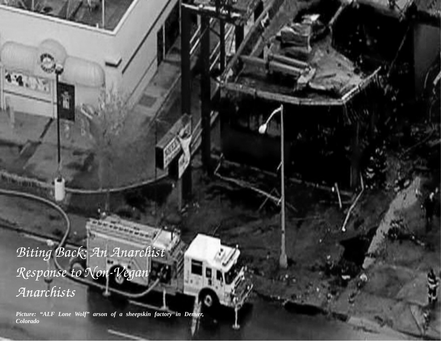*Biting Back: An Anarchist*   $Response$  to Non-Vegan *Anarchists*

*Picture: "ALF Lone Wolf" arson of a sheepskin factory in Denver, Colorado*

**The Street of Congress**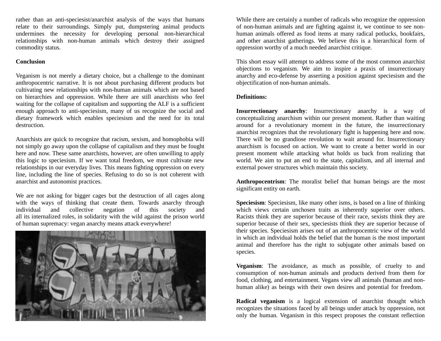rather than an anti-speciesist/anarchist analysis of the ways that humans relate to their surroundings. Simply put, dumpstering animal products undermines the necessity for developing personal non-hierarchical relationships with non-human animals which destroy their assigned commodity status.

### **Conclusion**

Veganism is not merely a dietary choice, but a challenge to the dominant anthropocentric narrative. It is not about purchasing different products but cultivating new relationships with non-human animals which are not based on hierarchies and oppression. While there are still anarchists who feel waiting for the collapse of capitalism and supporting the ALF is a sufficient enough approach to anti-speciesism, many of us recognize the social and dietary framework which enables speciesism and the need for its total destruction.

Anarchists are quick to recognize that racism, sexism, and homophobia will not simply go away upon the collapse of capitalism and they must be fought here and now. These same anarchists, however, are often unwilling to apply this logic to speciesism. If we want total freedom, we must cultivate new relationships in our everyday lives. This means fighting oppression on every line, including the line of species. Refusing to do so is not coherent with anarchist and autonomist practices.

We are not asking for bigger cages but the destruction of all cages along with the ways of thinking that create them. Towards anarchy through individual and collective negation of this society and all its internalized roles, in solidarity with the wild against the prison world of human supremacy: vegan anarchy means attack everywhere!



While there are certainly a number of radicals who recognize the oppression of non-human animals and are fighting against it, we continue to see nonhuman animals offered as food items at many radical potlucks, bookfairs, and other anarchist gatherings. We believe this is a hierarchical form of oppression worthy of a much needed anarchist critique.

This short essay will attempt to address some of the most common anarchist objections to veganism. We aim to inspire a praxis of insurrectionary anarchy and eco-defense by asserting a position against speciesism and the objectification of non-human animals.

### **Definitions:**

**Insurrectionary anarchy**: Insurrectionary anarchy is a way of conceptualizing anarchism within our present moment. Rather than waiting around for a revolutionary moment in the future, the insurrectionary anarchist recognizes that the revolutionary fight is happening here and now. There will be no grandiose revolution to wait around for. Insurrectionary anarchism is focused on action. We want to create a better world in our present moment while attacking what holds us back from realizing that world. We aim to put an end to the state, capitalism, and all internal and external power structures which maintain this society.

**Anthropocentrism**: The moralist belief that human beings are the most significant entity on earth.

**Speciesism**: Speciesism, like many other isms, is based on a line of thinking which views certain unchosen traits as inherently superior over others. Racists think they are superior because of their race, sexists think they are superior because of their sex, speciesists think they are superior because of their species. Speciesism arises out of an anthropocentric view of the world in which an individual holds the belief that the human is the most important animal and therefore has the right to subjugate other animals based on species.

**Veganism**: The avoidance, as much as possible, of cruelty to and consumption of non-human animals and products derived from them for food, clothing, and entertainment. Vegans view all animals (human and nonhuman alike) as beings with their own desires and potential for freedom.

**Radical veganism** is a logical extension of anarchist thought which recognizes the situations faced by all beings under attack by oppression, not only the human. Veganism in this respect proposes the constant reflection